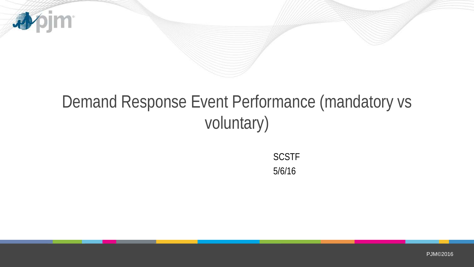

# Demand Response Event Performance (mandatory vs voluntary)

**SCSTF** 5/6/16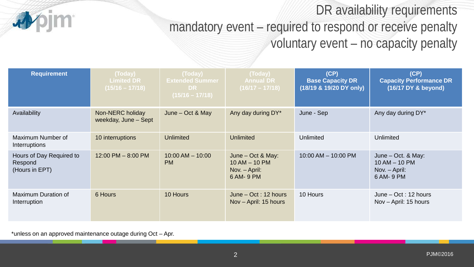## DR availability requirements mandatory event – required to respond or receive penalty voluntary event – no capacity penalty

| <b>Requirement</b>                                    | (Today)<br><b>Limited DR</b><br>$(15/16 - 17/18)$ | (Today)<br><b>Extended Summer</b><br>DR <b>DR</b><br>$(15/16 - 17/18)$ | (Today)<br><b>Annual DR</b><br>$(16/17 - 17/18)$                      | (CP)<br><b>Base Capacity DR</b><br>(18/19 & 19/20 DY only) | (CP)<br><b>Capacity Performance DR</b><br>(16/17 DY & beyond)          |
|-------------------------------------------------------|---------------------------------------------------|------------------------------------------------------------------------|-----------------------------------------------------------------------|------------------------------------------------------------|------------------------------------------------------------------------|
| Availability                                          | Non-NERC holiday<br>weekday, June - Sept          | June – Oct $&$ May                                                     | Any day during DY*                                                    | June - Sep                                                 | Any day during DY*                                                     |
| Maximum Number of<br>Interruptions                    | 10 interruptions                                  | <b>Unlimited</b>                                                       | <b>Unlimited</b>                                                      | Unlimited                                                  | <b>Unlimited</b>                                                       |
| Hours of Day Required to<br>Respond<br>(Hours in EPT) | $12:00$ PM $- 8:00$ PM                            | $10:00$ AM $- 10:00$<br><b>PM</b>                                      | June – Oct & May:<br>$10 AM - 10 PM$<br>Nov. $-$ April:<br>6 AM- 9 PM | $10:00$ AM $-$ 10:00 PM                                    | June – Oct. & May:<br>$10 AM - 10 PM$<br>Nov. $-$ April:<br>6 AM- 9 PM |
| Maximum Duration of<br>Interruption                   | 6 Hours                                           | 10 Hours                                                               | June - Oct : 12 hours<br>Nov - April: 15 hours                        | 10 Hours                                                   | June $-$ Oct : 12 hours<br>Nov - April: 15 hours                       |

\*unless on an approved maintenance outage during Oct – Apr.

Im.

尋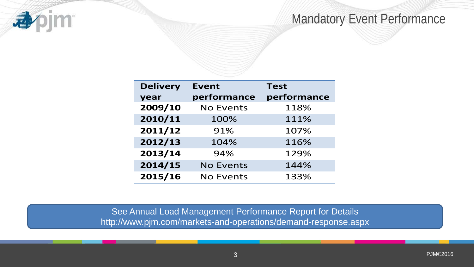#### Mandatory Event Performance

| <b>Delivery</b> | <b>Event</b>     | <b>Test</b> |
|-----------------|------------------|-------------|
| year            | performance      | performance |
| 2009/10         | <b>No Events</b> | 118%        |
| 2010/11         | 100%             | 111%        |
| 2011/12         | 91%              | 107%        |
| 2012/13         | 104%             | 116%        |
| 2013/14         | 94%              | 129%        |
| 2014/15         | <b>No Events</b> | 144%        |
| 2015/16         | <b>No Events</b> | 133%        |

**Apjm** 

See Annual Load Management Performance Report for Details http://www.pjm.com/markets-and-operations/demand-response.aspx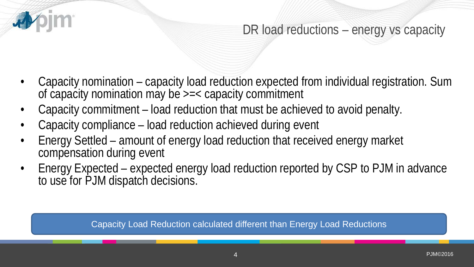

### DR load reductions – energy vs capacity

- Capacity nomination capacity load reduction expected from individual registration. Sum of capacity nomination may be  $\geq$  =  $\lt$  capacity commitment
- Capacity commitment load reduction that must be achieved to avoid penalty.
- Capacity compliance load reduction achieved during event
- Energy Settled amount of energy load reduction that received energy market compensation during event
- Energy Expected expected energy load reduction reported by CSP to PJM in advance to use for PJM dispatch decisions.

#### Capacity Load Reduction calculated different than Energy Load Reductions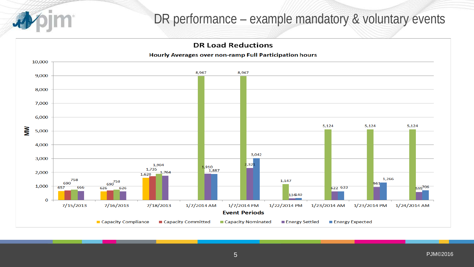#### DR performance - example mandatory & voluntary events